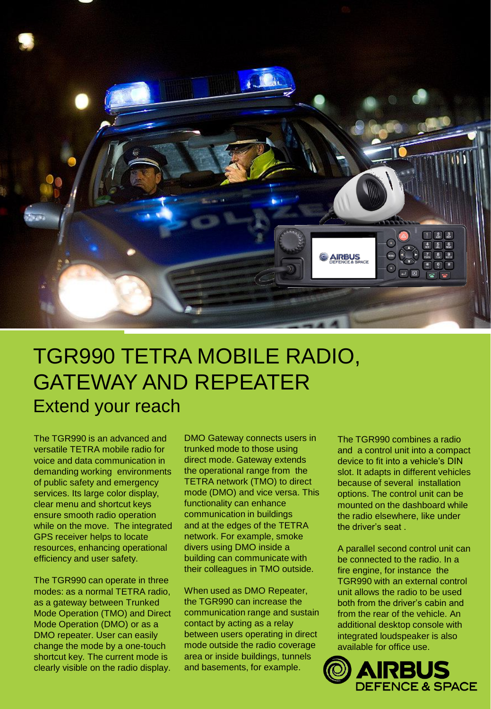

## TGR990 TETRA MOBILE RADIO, GATEWAY AND REPEATER Extend your reach

The TGR990 is an advanced and versatile TETRA mobile radio for voice and data communication in demanding working environments of public safety and emergency services. Its large color display, clear menu and shortcut keys ensure smooth radio operation while on the move. The integrated GPS receiver helps to locate resources, enhancing operational efficiency and user safety.

The TGR990 can operate in three modes: as a normal TETRA radio, as a gateway between Trunked Mode Operation (TMO) and Direct Mode Operation (DMO) or as a DMO repeater. User can easily change the mode by a one-touch shortcut key. The current mode is clearly visible on the radio display.

DMO Gateway connects users in trunked mode to those using direct mode. Gateway extends the operational range from the TETRA network (TMO) to direct mode (DMO) and vice versa. This functionality can enhance communication in buildings and at the edges of the TETRA network. For example, smoke divers using DMO inside a building can communicate with their colleagues in TMO outside.

When used as DMO Repeater, the TGR990 can increase the communication range and sustain contact by acting as a relay between users operating in direct mode outside the radio coverage area or inside buildings, tunnels and basements, for example.

The TGR990 combines a radio and a control unit into a compact device to fit into a vehicle's DIN slot. It adapts in different vehicles because of several installation options. The control unit can be mounted on the dashboard while the radio elsewhere, like under the driver's seat .

A parallel second control unit can be connected to the radio. In a fire engine, for instance the TGR990 with an external control unit allows the radio to be used both from the driver's cabin and from the rear of the vehicle. An additional desktop console with integrated loudspeaker is also available for office use.